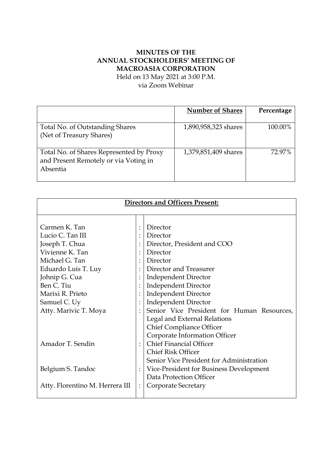# **MINUTES OF THE ANNUAL STOCKHOLDERS' MEETING OF MACROASIA CORPORATION**

Held on 13 May 2021 at 3:00 P.M.

via Zoom Webinar

|                                                                                               | <b>Number of Shares</b> | Percentage |
|-----------------------------------------------------------------------------------------------|-------------------------|------------|
| Total No. of Outstanding Shares<br>(Net of Treasury Shares)                                   | 1,890,958,323 shares    | 100.00%    |
| Total No. of Shares Represented by Proxy<br>and Present Remotely or via Voting in<br>Absentia | 1,379,851,409 shares    | 72.97%     |

| <b>Directors and Officers Present:</b> |                |                                            |
|----------------------------------------|----------------|--------------------------------------------|
|                                        |                |                                            |
| Carmen K. Tan                          |                | Director                                   |
| Lucio C. Tan III                       |                | Director                                   |
| Joseph T. Chua                         |                | Director, President and COO                |
| Vivienne K. Tan                        |                | Director                                   |
| Michael G. Tan                         |                | Director                                   |
| Eduardo Luis T. Luy                    |                | Director and Treasurer                     |
| Johnip G. Cua                          |                | <b>Independent Director</b>                |
| Ben C. Tiu                             |                | Independent Director                       |
| Marixi R. Prieto                       |                | <b>Independent Director</b>                |
| Samuel C. Uy                           |                | <b>Independent Director</b>                |
| Atty. Marivic T. Moya                  |                | Senior Vice President for Human Resources, |
|                                        |                | Legal and External Relations               |
|                                        |                | <b>Chief Compliance Officer</b>            |
|                                        |                | Corporate Information Officer              |
| Amador T. Sendin                       |                | <b>Chief Financial Officer</b>             |
|                                        |                | <b>Chief Risk Officer</b>                  |
|                                        |                | Senior Vice President for Administration   |
| Belgium S. Tandoc                      |                | Vice-President for Business Development    |
|                                        |                | Data Protection Officer                    |
| Atty. Florentino M. Herrera III        | $\ddot{\cdot}$ | Corporate Secretary                        |
|                                        |                |                                            |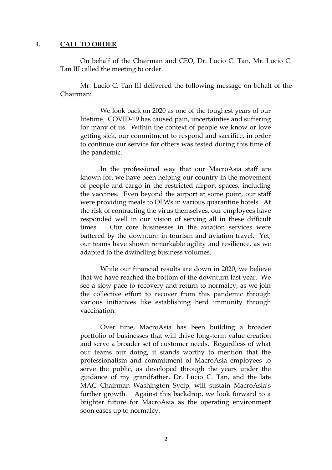## **I. CALL TO ORDER**

On behalf of the Chairman and CEO, Dr. Lucio C. Tan, Mr. Lucio C. Tan III called the meeting to order.

Mr. Lucio C. Tan III delivered the following message on behalf of the Chairman:

We look back on 2020 as one of the toughest years of our lifetime. COVID-19 has caused pain, uncertainties and suffering for many of us. Within the context of people we know or love getting sick, our commitment to respond and sacrifice, in order to continue our service for others was tested during this time of the pandemic.

In the professional way that our MacroAsia staff are known for, we have been helping our country in the movement of people and cargo in the restricted airport spaces, including the vaccines. Even beyond the airport at some point, our staff were providing meals to OFWs in various quarantine hotels. At the risk of contracting the virus themselves, our employees have responded well in our vision of serving all in these difficult times. Our core businesses in the aviation services were battered by the downturn in tourism and aviation travel. Yet, our teams have shown remarkable agility and resilience, as we adapted to the dwindling business volumes.

While our financial results are down in 2020, we believe that we have reached the bottom of the downturn last year. We see a slow pace to recovery and return to normalcy, as we join the collective effort to recover from this pandemic through various initiatives like establishing herd immunity through vaccination.

Over time, MacroAsia has been building a broader portfolio of businesses that will drive long-term value creation and serve a broader set of customer needs. Regardless of what our teams our doing, it stands worthy to mention that the professionalism and commitment of MacroAsia employees to serve the public, as developed through the years under the guidance of my grandfather, Dr. Lucio C. Tan, and the late MAC Chairman Washington Sycip, will sustain MacroAsia's further growth. Against this backdrop, we look forward to a brighter future for MacroAsia as the operating environment soon eases up to normalcy.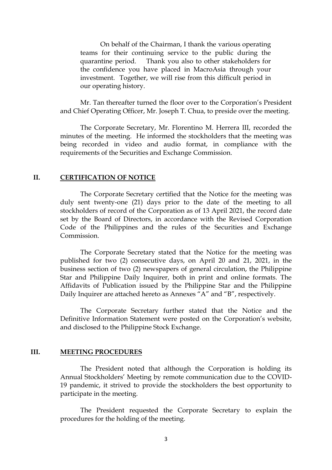On behalf of the Chairman, I thank the various operating teams for their continuing service to the public during the quarantine period. Thank you also to other stakeholders for the confidence you have placed in MacroAsia through your investment. Together, we will rise from this difficult period in our operating history.

Mr. Tan thereafter turned the floor over to the Corporation's President and Chief Operating Officer, Mr. Joseph T. Chua, to preside over the meeting.

The Corporate Secretary, Mr. Florentino M. Herrera III, recorded the minutes of the meeting. He informed the stockholders that the meeting was being recorded in video and audio format, in compliance with the requirements of the Securities and Exchange Commission.

## **II. CERTIFICATION OF NOTICE**

The Corporate Secretary certified that the Notice for the meeting was duly sent twenty-one (21) days prior to the date of the meeting to all stockholders of record of the Corporation as of 13 April 2021, the record date set by the Board of Directors, in accordance with the Revised Corporation Code of the Philippines and the rules of the Securities and Exchange Commission.

The Corporate Secretary stated that the Notice for the meeting was published for two (2) consecutive days, on April 20 and 21, 2021, in the business section of two (2) newspapers of general circulation, the Philippine Star and Philippine Daily Inquirer, both in print and online formats. The Affidavits of Publication issued by the Philippine Star and the Philippine Daily Inquirer are attached hereto as Annexes "A" and "B", respectively.

The Corporate Secretary further stated that the Notice and the Definitive Information Statement were posted on the Corporation's website, and disclosed to the Philippine Stock Exchange.

## **III. MEETING PROCEDURES**

The President noted that although the Corporation is holding its Annual Stockholders' Meeting by remote communication due to the COVID-19 pandemic, it strived to provide the stockholders the best opportunity to participate in the meeting.

The President requested the Corporate Secretary to explain the procedures for the holding of the meeting.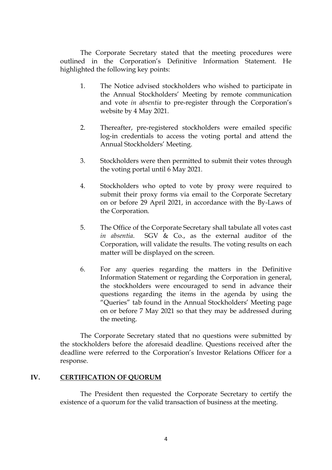The Corporate Secretary stated that the meeting procedures were outlined in the Corporation's Definitive Information Statement. He highlighted the following key points:

- 1. The Notice advised stockholders who wished to participate in the Annual Stockholders' Meeting by remote communication and vote *in absentia* to pre-register through the Corporation's website by 4 May 2021.
- 2. Thereafter, pre-registered stockholders were emailed specific log-in credentials to access the voting portal and attend the Annual Stockholders' Meeting.
- 3. Stockholders were then permitted to submit their votes through the voting portal until 6 May 2021.
- 4. Stockholders who opted to vote by proxy were required to submit their proxy forms via email to the Corporate Secretary on or before 29 April 2021, in accordance with the By-Laws of the Corporation.
- 5. The Office of the Corporate Secretary shall tabulate all votes cast *in absentia*. SGV & Co., as the external auditor of the Corporation, will validate the results. The voting results on each matter will be displayed on the screen.
- 6. For any queries regarding the matters in the Definitive Information Statement or regarding the Corporation in general, the stockholders were encouraged to send in advance their questions regarding the items in the agenda by using the "Queries" tab found in the Annual Stockholders' Meeting page on or before 7 May 2021 so that they may be addressed during the meeting.

The Corporate Secretary stated that no questions were submitted by the stockholders before the aforesaid deadline. Questions received after the deadline were referred to the Corporation's Investor Relations Officer for a response.

# **IV. CERTIFICATION OF QUORUM**

The President then requested the Corporate Secretary to certify the existence of a quorum for the valid transaction of business at the meeting.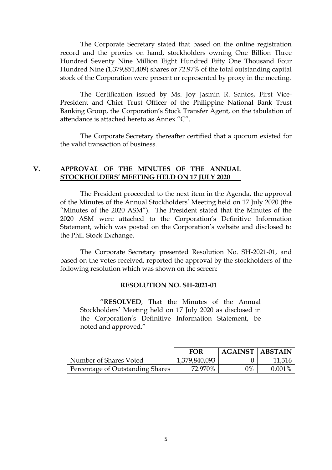The Corporate Secretary stated that based on the online registration record and the proxies on hand, stockholders owning One Billion Three Hundred Seventy Nine Million Eight Hundred Fifty One Thousand Four Hundred Nine (1,379,851,409) shares or 72.97% of the total outstanding capital stock of the Corporation were present or represented by proxy in the meeting.

The Certification issued by Ms. Joy Jasmin R. Santos, First Vice-President and Chief Trust Officer of the Philippine National Bank Trust Banking Group, the Corporation's Stock Transfer Agent, on the tabulation of attendance is attached hereto as Annex "C".

The Corporate Secretary thereafter certified that a quorum existed for the valid transaction of business.

# **V. APPROVAL OF THE MINUTES OF THE ANNUAL STOCKHOLDERS' MEETING HELD ON 17 JULY 2020**

The President proceeded to the next item in the Agenda, the approval of the Minutes of the Annual Stockholders' Meeting held on 17 July 2020 (the "Minutes of the 2020 ASM"). The President stated that the Minutes of the 2020 ASM were attached to the Corporation's Definitive Information Statement, which was posted on the Corporation's website and disclosed to the Phil. Stock Exchange.

The Corporate Secretary presented Resolution No. SH-2021-01, and based on the votes received, reported the approval by the stockholders of the following resolution which was shown on the screen:

### **RESOLUTION NO. SH-2021-01**

"**RESOLVED**, That the Minutes of the Annual Stockholders' Meeting held on 17 July 2020 as disclosed in the Corporation's Definitive Information Statement, be noted and approved."

|                                  | <b>FOR</b>    | AGAINST   ABSTAIN |           |
|----------------------------------|---------------|-------------------|-----------|
| Number of Shares Voted           | 1,379,840,093 |                   | 11,316    |
| Percentage of Outstanding Shares | 72.970%       | $2\%$             | $0.001\%$ |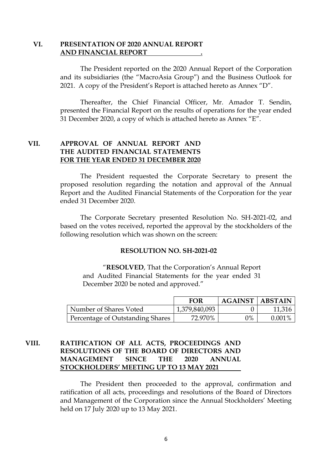# **VI. PRESENTATION OF 2020 ANNUAL REPORT AND FINANCIAL REPORT .**

The President reported on the 2020 Annual Report of the Corporation and its subsidiaries (the "MacroAsia Group") and the Business Outlook for 2021. A copy of the President's Report is attached hereto as Annex "D".

Thereafter, the Chief Financial Officer, Mr. Amador T. Sendin, presented the Financial Report on the results of operations for the year ended 31 December 2020, a copy of which is attached hereto as Annex "E".

# **VII. APPROVAL OF ANNUAL REPORT AND THE AUDITED FINANCIAL STATEMENTS FOR THE YEAR ENDED 31 DECEMBER 2020**

The President requested the Corporate Secretary to present the proposed resolution regarding the notation and approval of the Annual Report and the Audited Financial Statements of the Corporation for the year ended 31 December 2020.

The Corporate Secretary presented Resolution No. SH-2021-02, and based on the votes received, reported the approval by the stockholders of the following resolution which was shown on the screen:

### **RESOLUTION NO. SH-2021-02**

"**RESOLVED**, That the Corporation's Annual Report and Audited Financial Statements for the year ended 31 December 2020 be noted and approved."

|                                  | <b>FOR</b>    | <b>AGAINST   ABSTAIN</b> |           |
|----------------------------------|---------------|--------------------------|-----------|
| Number of Shares Voted           | 1,379,840,093 |                          | 11,316    |
| Percentage of Outstanding Shares | 72.970%       | 0%                       | $0.001\%$ |

# **VIII. RATIFICATION OF ALL ACTS, PROCEEDINGS AND RESOLUTIONS OF THE BOARD OF DIRECTORS AND MANAGEMENT SINCE THE 2020 ANNUAL STOCKHOLDERS' MEETING UP TO 13 MAY 2021**

The President then proceeded to the approval, confirmation and ratification of all acts, proceedings and resolutions of the Board of Directors and Management of the Corporation since the Annual Stockholders' Meeting held on 17 July 2020 up to 13 May 2021.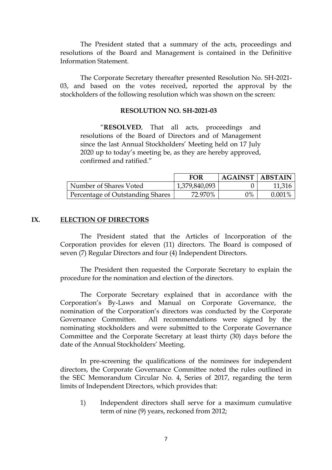The President stated that a summary of the acts, proceedings and resolutions of the Board and Management is contained in the Definitive Information Statement.

The Corporate Secretary thereafter presented Resolution No. SH-2021- 03, and based on the votes received, reported the approval by the stockholders of the following resolution which was shown on the screen:

# **RESOLUTION NO. SH-2021-03**

"**RESOLVED**, That all acts, proceedings and resolutions of the Board of Directors and of Management since the last Annual Stockholders' Meeting held on 17 July 2020 up to today's meeting be, as they are hereby approved, confirmed and ratified."

|                                  | <b>FOR</b>    | <b>AGAINST   ABSTAIN</b> |           |
|----------------------------------|---------------|--------------------------|-----------|
| Number of Shares Voted           | 1,379,840,093 |                          | 11,316    |
| Percentage of Outstanding Shares | 72.970%       | $2\%$                    | $0.001\%$ |

## **IX. ELECTION OF DIRECTORS**

The President stated that the Articles of Incorporation of the Corporation provides for eleven (11) directors. The Board is composed of seven (7) Regular Directors and four (4) Independent Directors.

The President then requested the Corporate Secretary to explain the procedure for the nomination and election of the directors.

The Corporate Secretary explained that in accordance with the Corporation's By-Laws and Manual on Corporate Governance, the nomination of the Corporation's directors was conducted by the Corporate Governance Committee. All recommendations were signed by the nominating stockholders and were submitted to the Corporate Governance Committee and the Corporate Secretary at least thirty (30) days before the date of the Annual Stockholders' Meeting.

In pre-screening the qualifications of the nominees for independent directors, the Corporate Governance Committee noted the rules outlined in the SEC Memorandum Circular No. 4, Series of 2017, regarding the term limits of Independent Directors, which provides that:

1) Independent directors shall serve for a maximum cumulative term of nine (9) years, reckoned from 2012;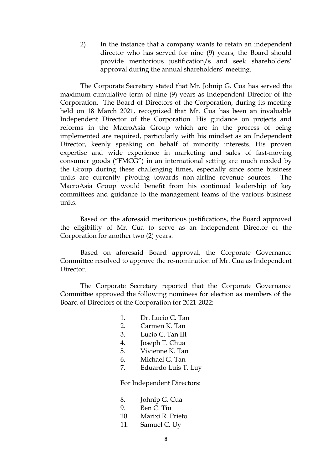2) In the instance that a company wants to retain an independent director who has served for nine (9) years, the Board should provide meritorious justification/s and seek shareholders' approval during the annual shareholders' meeting.

The Corporate Secretary stated that Mr. Johnip G. Cua has served the maximum cumulative term of nine (9) years as Independent Director of the Corporation. The Board of Directors of the Corporation, during its meeting held on 18 March 2021, recognized that Mr. Cua has been an invaluable Independent Director of the Corporation. His guidance on projects and reforms in the MacroAsia Group which are in the process of being implemented are required, particularly with his mindset as an Independent Director, keenly speaking on behalf of minority interests. His proven expertise and wide experience in marketing and sales of fast-moving consumer goods ("FMCG") in an international setting are much needed by the Group during these challenging times, especially since some business units are currently pivoting towards non-airline revenue sources. The MacroAsia Group would benefit from his continued leadership of key committees and guidance to the management teams of the various business units.

Based on the aforesaid meritorious justifications, the Board approved the eligibility of Mr. Cua to serve as an Independent Director of the Corporation for another two (2) years.

Based on aforesaid Board approval, the Corporate Governance Committee resolved to approve the re-nomination of Mr. Cua as Independent Director.

The Corporate Secretary reported that the Corporate Governance Committee approved the following nominees for election as members of the Board of Directors of the Corporation for 2021-2022:

- 1. Dr. Lucio C. Tan
- 2. Carmen K. Tan
- 3. Lucio C. Tan III
- 4. Joseph T. Chua
- 5. Vivienne K. Tan
- 6. Michael G. Tan
- 7. Eduardo Luis T. Luy

For Independent Directors:

- 8. Johnip G. Cua
- 9. Ben C. Tiu
- 10. Marixi R. Prieto
- 11. Samuel C. Uy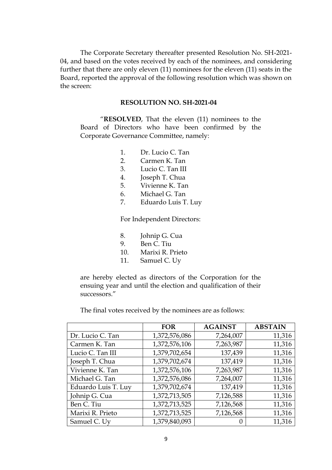The Corporate Secretary thereafter presented Resolution No. SH-2021- 04, and based on the votes received by each of the nominees, and considering further that there are only eleven (11) nominees for the eleven (11) seats in the Board, reported the approval of the following resolution which was shown on the screen:

# **RESOLUTION NO. SH-2021-04**

"**RESOLVED**, That the eleven (11) nominees to the Board of Directors who have been confirmed by the Corporate Governance Committee, namely:

- 1. Dr. Lucio C. Tan
- 2. Carmen K. Tan
- 3. Lucio C. Tan III
- 4. Joseph T. Chua
- 5. Vivienne K. Tan
- 6. Michael G. Tan
- 7. Eduardo Luis T. Luy

For Independent Directors:

- 8. Johnip G. Cua
- 9. Ben C. Tiu
- 10. Marixi R. Prieto
- 11. Samuel C. Uy

are hereby elected as directors of the Corporation for the ensuing year and until the election and qualification of their successors."

The final votes received by the nominees are as follows:

|                     | <b>FOR</b>    | <b>AGAINST</b> | <b>ABSTAIN</b> |
|---------------------|---------------|----------------|----------------|
| Dr. Lucio C. Tan    | 1,372,576,086 | 7,264,007      | 11,316         |
| Carmen K. Tan       | 1,372,576,106 | 7,263,987      | 11,316         |
| Lucio C. Tan III    | 1,379,702,654 | 137,439        | 11,316         |
| Joseph T. Chua      | 1,379,702,674 | 137,419        | 11,316         |
| Vivienne K. Tan     | 1,372,576,106 | 7,263,987      | 11,316         |
| Michael G. Tan      | 1,372,576,086 | 7,264,007      | 11,316         |
| Eduardo Luis T. Luy | 1,379,702,674 | 137,419        | 11,316         |
| Johnip G. Cua       | 1,372,713,505 | 7,126,588      | 11,316         |
| Ben C. Tiu          | 1,372,713,525 | 7,126,568      | 11,316         |
| Marixi R. Prieto    | 1,372,713,525 | 7,126,568      | 11,316         |
| Samuel C. Uy        | 1,379,840,093 |                | 11,316         |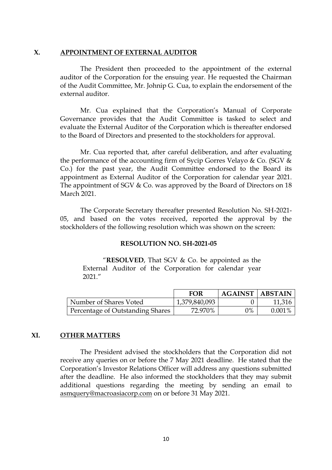# **X. APPOINTMENT OF EXTERNAL AUDITOR**

The President then proceeded to the appointment of the external auditor of the Corporation for the ensuing year. He requested the Chairman of the Audit Committee, Mr. Johnip G. Cua, to explain the endorsement of the external auditor.

Mr. Cua explained that the Corporation's Manual of Corporate Governance provides that the Audit Committee is tasked to select and evaluate the External Auditor of the Corporation which is thereafter endorsed to the Board of Directors and presented to the stockholders for approval.

Mr. Cua reported that, after careful deliberation, and after evaluating the performance of the accounting firm of Sycip Gorres Velayo & Co. (SGV & Co.) for the past year, the Audit Committee endorsed to the Board its appointment as External Auditor of the Corporation for calendar year 2021. The appointment of SGV & Co. was approved by the Board of Directors on 18 March 2021.

The Corporate Secretary thereafter presented Resolution No. SH-2021- 05, and based on the votes received, reported the approval by the stockholders of the following resolution which was shown on the screen:

### **RESOLUTION NO. SH-2021-05**

"**RESOLVED**, That SGV & Co. be appointed as the External Auditor of the Corporation for calendar year 2021."

|                                  | FOR           | <b>AGAINST   ABSTAIN</b> |        |
|----------------------------------|---------------|--------------------------|--------|
| Number of Shares Voted           | 1,379,840,093 |                          | 11,316 |
| Percentage of Outstanding Shares | 72.970%       | 0%                       | 0.001% |

# **XI. OTHER MATTERS**

The President advised the stockholders that the Corporation did not receive any queries on or before the 7 May 2021 deadline. He stated that the Corporation's Investor Relations Officer will address any questions submitted after the deadline. He also informed the stockholders that they may submit additional questions regarding the meeting by sending an email to asmquery@macroasiacorp.com on or before 31 May 2021.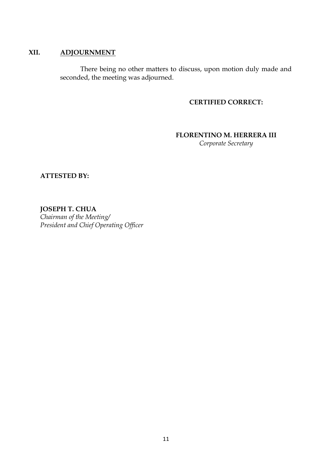# **XII. ADJOURNMENT**

There being no other matters to discuss, upon motion duly made and seconded, the meeting was adjourned.

# **CERTIFIED CORRECT:**

# **FLORENTINO M. HERRERA III**

*Corporate Secretary*

**ATTESTED BY:**

**JOSEPH T. CHUA** *Chairman of the Meeting/ President and Chief Operating Officer*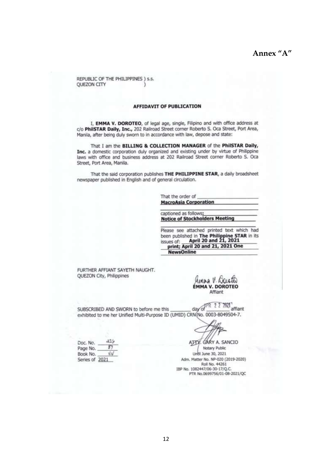# Annex "A"

REPUBLIC OF THE PHILIPPINES ) s.s. **OUEZON CITY** 

#### **AFFIDAVIT OF PUBLICATION**

I, EMMA V. DOROTEO, of legal age, single, Filipino and with office address at c/o PhilSTAR Daily, Inc., 202 Railroad Street corner Roberto S. Oca Street, Port Area, Manila, after being duly sworn to in accordance with law, depose and state:

That I am the BILLING & COLLECTION MANAGER of the PhilSTAR Daily, Inc. a domestic corporation duly organized and existing under by virtue of Philippine laws with office and business address at 202 Railroad Street corner Roberto S. Oca Street, Port Area, Manila.

That the said corporation publishes THE PHILIPPINE STAR, a daily broadsheet newspaper published in English and of general circulation.

> That the order of **MacroAsia Corporation**

captioned as follows: **Notice of Stockholders Meeting** 

Please see attached printed text which had been published in The Philippine STAR in its<br>issues of: **April 20 and 21, 2021** print; April 20 and 21, 2021 One **NewsOnline** 

FURTHER AFFIANT SAYETH NAUGHT. **OUEZON City, Philippines** 

 $x + a$ **ÉMMA V. DOROTEO** Affiant

day of FR 2 2 2821 SUBSCRIBED AND SWORN to before me this exhibited to me her Unified Multi-Purpose ID (UMID) CRN(No. 0003-8049504-7.

 $426$ Doc. No.  $87$ Page No. Book No. xіи Series of 2021

GARY A. SANCIO AITY Notary Public Unbi June 30, 2021 Adm. Matter No. NP-020 (2019-2020) Roll No. 44261<br>Roll No. 44261<br>IBP No. 1082447/06-30-17/Q.C. PTR No.0699756/01-08-2021/QC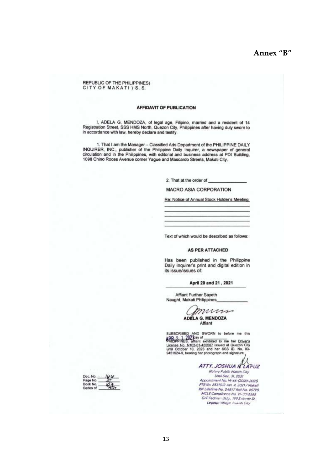REPUBLIC OF THE PHILIPPINES) CITY OF MAKATI) S.S.

#### **AFFIDAVIT OF PUBLICATION**

I, ADELA G. MENDOZA, of legal age, Filipino, married and a resident of 14<br>Registration Street, SSS HMS North, Quezon City, Philippines after having duly sworn to<br>in accordance with law, hereby declare and testify.

1. That I am the Manager - Classified Ads Department of the PHILIPPINE DAILY<br>INQUIRER, INC., publisher of the Philippine Daily Inquirer, a newspaper of general<br>circulation and in the Philippines, with editorial and busines

2. That at the order of

**MACRO ASIA CORPORATION** 

Re: Notice of Annual Stock Holder's Meeting

Text of which would be described as follows:

#### AS PER ATTACHED

Has been published in the Philippine Daily Inquirer's print and digital edition in its issue/issues of.

#### April 20 and 21, 2021

Affiant Further Sayeth Naught, Makati Philippines

mm **ADELA G. MENDOZA** Affiant

SUBSCRIBED AND SWORN to before me this<br> **APP 2. 1 2021**day of<br> **CHATIPPIRES, affiant exhibited to me her Driver's**<br>
License No. N102-01-455507 issued at Quezon City<br>
until October 10, 2023 and her SSS ID. No. 03-<br>
9451924-

ATTY. JOSHUA IL LAPUZ

Notary Public Makati City Until Dec. 31, 2021 Appointment No. M-66-(2020-2021)<br>PTR No. 8531012 Jan. 4, 2021 / Makati IBP Lifetime No. 04897 Roll No. 45790 G/F Fedman Bidg., 199 Salcodo St.<br>Legaspi Villaya, Illianti City

Doc. No. Page No.<br>Book No. Series of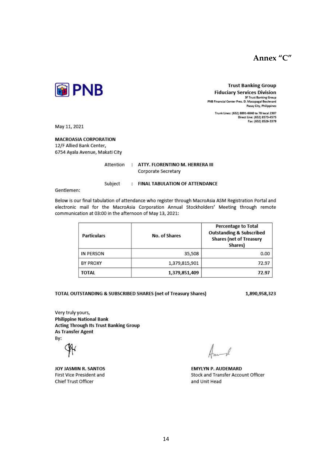



**Trust Banking Group Fiduciary Services Division** I Further y Services Brussion Pasay City, Philippines

> Trunk Lines: (632) 8891-6040 to 70 local 2307 Direct Line: (632) 8573-4575<br>Fax: (632) 8526-3379

May 11, 2021

**MACROASIA CORPORATION** 12/F Allied Bank Center, 6754 Ayala Avenue, Makati City

Subject

Attention : ATTY, FLORENTINO M. HERRERA III

Corporate Secretary

: FINAL TABULATION OF ATTENDANCE

Gentlemen:

Below is our final tabulation of attendance who register through MacroAsia ASM Registration Portal and electronic mail for the MacroAsia Corporation Annual Stockholders' Meeting through remote communication at 03:00 in the afternoon of May 13, 2021:

| <b>Particulars</b> | No. of Shares | <b>Percentage to Total</b><br><b>Outstanding &amp; Subscribed</b><br><b>Shares (net of Treasury</b><br>Shares) |
|--------------------|---------------|----------------------------------------------------------------------------------------------------------------|
| IN PERSON          | 35,508        | 0.00                                                                                                           |
| <b>BY PROXY</b>    | 1,379,815,901 | 72.97                                                                                                          |
| <b>TOTAL</b>       | 1,379,851,409 | 72.97                                                                                                          |

#### TOTAL OUTSTANDING & SUBSCRIBED SHARES (net of Treasury Shares)

1,890,958,323

Very truly yours, **Philippine National Bank Acting Through Its Trust Banking Group As Transfer Agent** By:

JOY JASMIN R. SANTOS **First Vice President and Chief Trust Officer** 

**EMYLYN P. AUDEMARD** Stock and Transfer Account Officer and Unit Head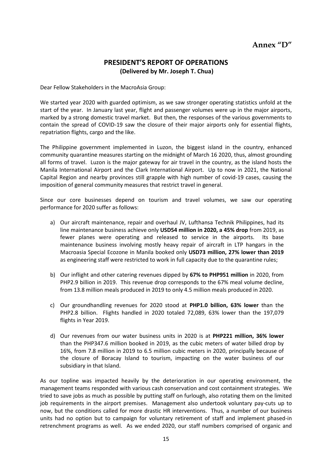# **PRESIDENT'S REPORT OF OPERATIONS (Delivered by Mr. Joseph T. Chua)**

Dear Fellow Stakeholders in the MacroAsia Group:

We started year 2020 with guarded optimism, as we saw stronger operating statistics unfold at the start of the year. In January last year, flight and passenger volumes were up in the major airports, marked by a strong domestic travel market. But then, the responses of the various governments to contain the spread of COVID-19 saw the closure of their major airports only for essential flights, repatriation flights, cargo and the like.

The Philippine government implemented in Luzon, the biggest island in the country, enhanced community quarantine measures starting on the midnight of March 16 2020, thus, almost grounding all forms of travel. Luzon is the major gateway for air travel in the country, as the island hosts the Manila International Airport and the Clark International Airport. Up to now in 2021, the National Capital Region and nearby provinces still grapple with high number of covid-19 cases, causing the imposition of general community measures that restrict travel in general.

Since our core businesses depend on tourism and travel volumes, we saw our operating performance for 2020 suffer as follows:

- a) Our aircraft maintenance, repair and overhaul JV, Lufthansa Technik Philippines, had its line maintenance business achieve only **USD54 million in 2020, a 45% drop** from 2019, as fewer planes were operating and released to service in the airports. Its base maintenance business involving mostly heavy repair of aircraft in LTP hangars in the Macroasia Special Ecozone in Manila booked only **USD73 million, 27% lower than 2019** as engineering staff were restricted to work in full capacity due to the quarantine rules;
- b) Our inflight and other catering revenues dipped by **67% to PHP951 million** in 2020, from PHP2.9 billion in 2019. This revenue drop corresponds to the 67% meal volume decline, from 13.8 million meals produced in 2019 to only 4.5 million meals produced in 2020.
- c) Our groundhandling revenues for 2020 stood at **PHP1.0 billion, 63% lower** than the PHP2.8 billion. Flights handled in 2020 totaled 72,089, 63% lower than the 197,079 flights in Year 2019.
- d) Our revenues from our water business units in 2020 is at **PHP221 million, 36% lower** than the PHP347.6 million booked in 2019, as the cubic meters of water billed drop by 16%, from 7.8 million in 2019 to 6.5 million cubic meters in 2020, principally because of the closure of Boracay Island to tourism, impacting on the water business of our subsidiary in that Island.

As our topline was impacted heavily by the deterioration in our operating environment, the management teams responded with various cash conservation and cost containment strategies. We tried to save jobs as much as possible by putting staff on furlough, also rotating them on the limited job requirements in the airport premises. Management also undertook voluntary pay-cuts up to now, but the conditions called for more drastic HR interventions. Thus, a number of our business units had no option but to campaign for voluntary retirement of staff and implement phased-in retrenchment programs as well. As we ended 2020, our staff numbers comprised of organic and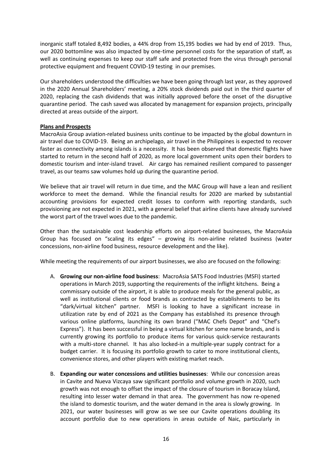inorganic staff totaled 8,492 bodies, a 44% drop from 15,195 bodies we had by end of 2019. Thus, our 2020 bottomline was also impacted by one-time personnel costs for the separation of staff, as well as continuing expenses to keep our staff safe and protected from the virus through personal protective equipment and frequent COVID-19 testing in our premises.

Our shareholders understood the difficulties we have been going through last year, as they approved in the 2020 Annual Shareholders' meeting, a 20% stock dividends paid out in the third quarter of 2020, replacing the cash dividends that was initially approved before the onset of the disruptive quarantine period. The cash saved was allocated by management for expansion projects, principally directed at areas outside of the airport.

## **Plans and Prospects**

MacroAsia Group aviation-related business units continue to be impacted by the global downturn in air travel due to COVID-19. Being an archipelago, air travel in the Philippines is expected to recover faster as connectivity among islands is a necessity. It has been observed that domestic flights have started to return in the second half of 2020, as more local government units open their borders to domestic tourism and inter-island travel. Air cargo has remained resilient compared to passenger travel, as our teams saw volumes hold up during the quarantine period.

We believe that air travel will return in due time, and the MAC Group will have a lean and resilient workforce to meet the demand. While the financial results for 2020 are marked by substantial accounting provisions for expected credit losses to conform with reporting standards, such provisioning are not expected in 2021, with a general belief that airline clients have already survived the worst part of the travel woes due to the pandemic.

Other than the sustainable cost leadership efforts on airport-related businesses, the MacroAsia Group has focused on "scaling its edges" – growing its non-airline related business (water concessions, non-airline food business, resource development and the like).

While meeting the requirements of our airport businesses, we also are focused on the following:

- A. **Growing our non-airline food business**: MacroAsia SATS Food Industries (MSFI) started operations in March 2019, supporting the requirements of the inflight kitchens. Being a commissary outside of the airport, it is able to produce meals for the general public, as well as institutional clients or food brands as contracted by establishments to be its "dark/virtual kitchen" partner. MSFI is looking to have a significant increase in utilization rate by end of 2021 as the Company has established its presence through various online platforms, launching its own brand ("MAC Chefs Depot" and "Chef's Express"). It has been successful in being a virtual kitchen for some name brands, and is currently growing its portfolio to produce items for various quick-service restaurants with a multi-store channel. It has also locked-in a multiple-year supply contract for a budget carrier. It is focusing its portfolio growth to cater to more institutional clients, convenience stores, and other players with existing market reach.
- B. **Expanding our water concessions and utilities businesses**: While our concession areas in Cavite and Nueva Vizcaya saw significant portfolio and volume growth in 2020, such growth was not enough to offset the impact of the closure of tourism in Boracay Island, resulting into lesser water demand in that area. The government has now re-opened the island to domestic tourism, and the water demand in the area is slowly growing. In 2021, our water businesses will grow as we see our Cavite operations doubling its account portfolio due to new operations in areas outside of Naic, particularly in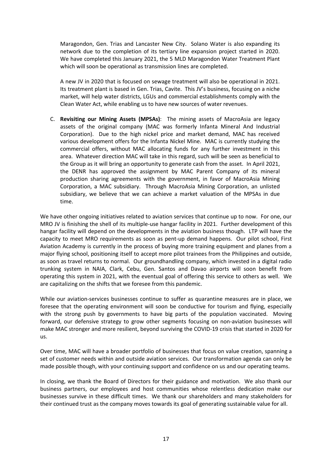Maragondon, Gen. Trias and Lancaster New City. Solano Water is also expanding its network due to the completion of its tertiary line expansion project started in 2020. We have completed this January 2021, the 5 MLD Maragondon Water Treatment Plant which will soon be operational as transmission lines are completed.

A new JV in 2020 that is focused on sewage treatment will also be operational in 2021. Its treatment plant is based in Gen. Trias, Cavite. This JV's business, focusing on a niche market, will help water districts, LGUs and commercial establishments comply with the Clean Water Act, while enabling us to have new sources of water revenues.

C. **Revisiting our Mining Assets (MPSAs)**: The mining assets of MacroAsia are legacy assets of the original company (MAC was formerly Infanta Mineral And Industrial Corporation). Due to the high nickel price and market demand, MAC has received various development offers for the Infanta Nickel Mine. MAC is currently studying the commercial offers, without MAC allocating funds for any further investment in this area. Whatever direction MAC will take in this regard, such will be seen as beneficial to the Group as it will bring an opportunity to generate cash from the asset. In April 2021, the DENR has approved the assignment by MAC Parent Company of its mineral production sharing agreements with the government, in favor of MacroAsia Mining Corporation, a MAC subsidiary. Through MacroAsia Mining Corporation, an unlisted subsidiary, we believe that we can achieve a market valuation of the MPSAs in due time.

We have other ongoing initiatives related to aviation services that continue up to now. For one, our MRO JV is finishing the shell of its multiple-use hangar facility in 2021. Further development of this hangar facility will depend on the developments in the aviation business though. LTP will have the capacity to meet MRO requirements as soon as pent-up demand happens. Our pilot school, First Aviation Academy is currently in the process of buying more training equipment and planes from a major flying school, positioning itself to accept more pilot trainees from the Philippines and outside, as soon as travel returns to normal. Our groundhandling company, which invested in a digital radio trunking system in NAIA, Clark, Cebu, Gen. Santos and Davao airports will soon benefit from operating this system in 2021, with the eventual goal of offering this service to others as well. We are capitalizing on the shifts that we foresee from this pandemic.

While our aviation-services businesses continue to suffer as quarantine measures are in place, we foresee that the operating environment will soon be conductive for tourism and flying, especially with the strong push by governments to have big parts of the population vaccinated. Moving forward, our defensive strategy to grow other segments focusing on non-aviation businesses will make MAC stronger and more resilient, beyond surviving the COVID-19 crisis that started in 2020 for us.

Over time, MAC will have a broader portfolio of businesses that focus on value creation, spanning a set of customer needs within and outside aviation services. Our transformation agenda can only be made possible though, with your continuing support and confidence on us and our operating teams.

In closing, we thank the Board of Directors for their guidance and motivation. We also thank our business partners, our employees and host communities whose relentless dedication make our businesses survive in these difficult times. We thank our shareholders and many stakeholders for their continued trust as the company moves towards its goal of generating sustainable value for all.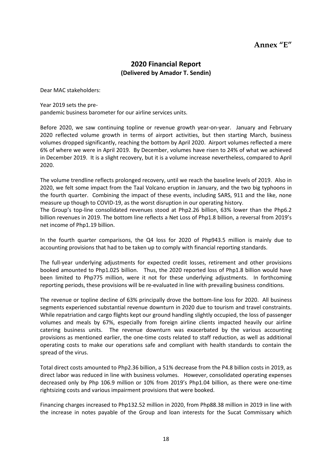# **Annex "E"**

# **2020 Financial Report (Delivered by Amador T. Sendin)**

Dear MAC stakeholders:

#### Year 2019 sets the pre-

pandemic business barometer for our airline services units.

Before 2020, we saw continuing topline or revenue growth year-on-year. January and February 2020 reflected volume growth in terms of airport activities, but then starting March, business volumes dropped significantly, reaching the bottom by April 2020. Airport volumes reflected a mere 6% of where we were in April 2019. By December, volumes have risen to 24% of what we achieved in December 2019. It is a slight recovery, but it is a volume increase nevertheless, compared to April 2020.

The volume trendline reflects prolonged recovery, until we reach the baseline levels of 2019. Also in 2020, we felt some impact from the Taal Volcano eruption in January, and the two big typhoons in the fourth quarter. Combining the impact of these events, including SARS, 911 and the like, none measure up though to COVID-19, as the worst disruption in our operating history.

The Group's top-line consolidated revenues stood at Php2.26 billion, 63% lower than the Php6.2 billion revenues in 2019. The bottom line reflects a Net Loss of Php1.8 billion, a reversal from 2019's net income of Php1.19 billion.

In the fourth quarter comparisons, the Q4 loss for 2020 of Php943.5 million is mainly due to accounting provisions that had to be taken up to comply with financial reporting standards.

The full-year underlying adjustments for expected credit losses, retirement and other provisions booked amounted to Php1.025 billion. Thus, the 2020 reported loss of Php1.8 billion would have been limited to Php775 million, were it not for these underlying adjustments. In forthcoming reporting periods, these provisions will be re-evaluated in line with prevailing business conditions.

The revenue or topline decline of 63% principally drove the bottom-line loss for 2020. All business segments experienced substantial revenue downturn in 2020 due to tourism and travel constraints. While repatriation and cargo flights kept our ground handling slightly occupied, the loss of passenger volumes and meals by 67%, especially from foreign airline clients impacted heavily our airline catering business units. The revenue downturn was exacerbated by the various accounting provisions as mentioned earlier, the one-time costs related to staff reduction, as well as additional operating costs to make our operations safe and compliant with health standards to contain the spread of the virus.

Total direct costs amounted to Php2.36 billion, a 51% decrease from the P4.8 billion costs in 2019, as direct labor was reduced in line with business volumes. However, consolidated operating expenses decreased only by Php 106.9 million or 10% from 2019's Php1.04 billion, as there were one-time rightsizing costs and various impairment provisions that were booked.

Financing charges increased to Php132.52 million in 2020, from Php88.38 million in 2019 in line with the increase in notes payable of the Group and loan interests for the Sucat Commissary which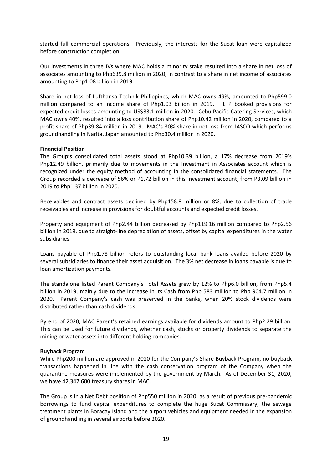started full commercial operations. Previously, the interests for the Sucat loan were capitalized before construction completion.

Our investments in three JVs where MAC holds a minority stake resulted into a share in net loss of associates amounting to Php639.8 million in 2020, in contrast to a share in net income of associates amounting to Php1.08 billion in 2019.

Share in net loss of Lufthansa Technik Philippines, which MAC owns 49%, amounted to Php599.0 million compared to an income share of Php1.03 billion in 2019. LTP booked provisions for expected credit losses amounting to US\$33.1 million in 2020. Cebu Pacific Catering Services, which MAC owns 40%, resulted into a loss contribution share of Php10.42 million in 2020, compared to a profit share of Php39.84 million in 2019. MAC's 30% share in net loss from JASCO which performs groundhandling in Narita, Japan amounted to Php30.4 million in 2020.

#### **Financial Position**

The Group's consolidated total assets stood at Php10.39 billion, a 17% decrease from 2019's Php12.49 billion, primarily due to movements in the Investment in Associates account which is recognized under the equity method of accounting in the consolidated financial statements. The Group recorded a decrease of 56% or P1.72 billion in this investment account, from P3.09 billion in 2019 to Php1.37 billion in 2020.

Receivables and contract assets declined by Php158.8 million or 8%, due to collection of trade receivables and increase in provisions for doubtful accounts and expected credit losses.

Property and equipment of Php2.44 billion decreased by Php119.16 million compared to Php2.56 billion in 2019, due to straight-line depreciation of assets, offset by capital expenditures in the water subsidiaries.

Loans payable of Php1.78 billion refers to outstanding local bank loans availed before 2020 by several subsidiaries to finance their asset acquisition. The 3% net decrease in loans payable is due to loan amortization payments.

The standalone listed Parent Company's Total Assets grew by 12% to Php6.0 billion, from Php5.4 billion in 2019, mainly due to the increase in its Cash from Php 583 million to Php 904.7 million in 2020. Parent Company's cash was preserved in the banks, when 20% stock dividends were distributed rather than cash dividends.

By end of 2020, MAC Parent's retained earnings available for dividends amount to Php2.29 billion. This can be used for future dividends, whether cash, stocks or property dividends to separate the mining or water assets into different holding companies.

#### **Buyback Program**

While Php200 million are approved in 2020 for the Company's Share Buyback Program, no buyback transactions happened in line with the cash conservation program of the Company when the quarantine measures were implemented by the government by March. As of December 31, 2020, we have 42,347,600 treasury shares in MAC.

The Group is in a Net Debt position of Php550 million in 2020, as a result of previous pre-pandemic borrowings to fund capital expenditures to complete the huge Sucat Commissary, the sewage treatment plants in Boracay Island and the airport vehicles and equipment needed in the expansion of groundhandling in several airports before 2020.